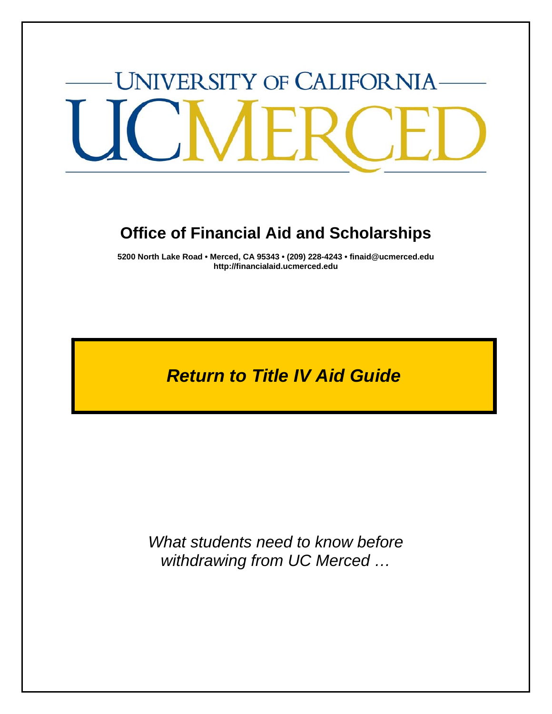# **UNIVERSITY OF CALIFORNIA-**

## **Office of Financial Aid and Scholarships**

**5200 North Lake Road • Merced, CA 95343 • (209) 228-4243 • finaid@ucmerced.edu http://financialaid.ucmerced.edu** 

# *Return to Title IV Aid Guide*

*What students need to know before withdrawing from UC Merced …*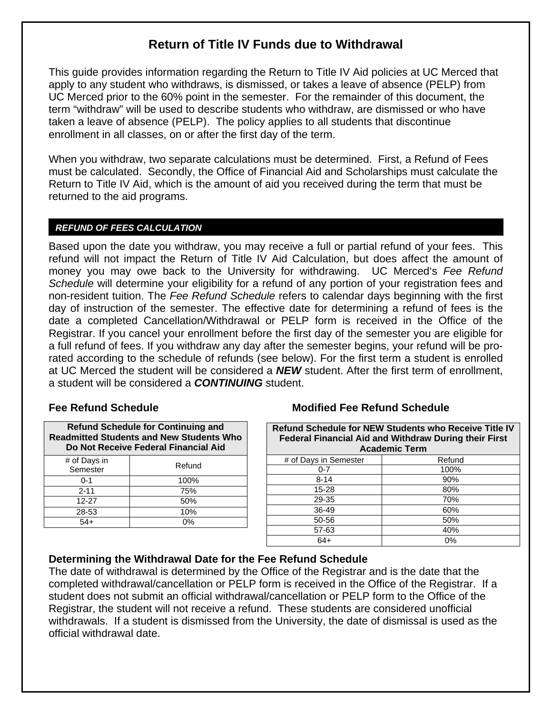### **Return of Title IV Funds due to Withdrawal**

This guide provides information regarding the Return to Title IV Aid policies at UC Merced that apply to any student who withdraws, is dismissed, or takes a leave of absence (PELP) from UC Merced prior to the 60% point in the semester. For the remainder of this document, the term "withdraw" will be used to describe students who withdraw, are dismissed or who have taken a leave of absence (PELP). The policy applies to all students that discontinue enrollment in all classes, on or after the first day of the term.

When you withdraw, two separate calculations must be determined. First, a Refund of Fees must be calculated. Secondly, the Office of Financial Aid and Scholarships must calculate the Return to Title IV Aid, which is the amount of aid you received during the term that must be returned to the aid programs.

#### *REFUND OF FEES CALCULATION*

i

Based upon the date you withdraw, you may receive a full or partial refund of your fees. This refund will not impact the Return of Title IV Aid Calculation, but does affect the amount of money you may owe back to the University for withdrawing. UC Merced's *Fee Refund Schedule* will determine your eligibility for a refund of any portion of your registration fees and non-resident tuition. The *Fee Refund Schedule* refers to calendar days beginning with the first day of instruction of the semester. The effective date for determining a refund of fees is the date a completed Cancellation/Withdrawal or PELP form is received in the Office of the Registrar. If you cancel your enrollment before the first day of the semester you are eligible for a full refund of fees. If you withdraw any day after the semester begins, your refund will be prorated according to the schedule of refunds (see below). For the first term a student is enrolled at UC Merced the student will be considered a *NEW* student. After the first term of enrollment, a student will be considered a *CONTINUING* student.

| <b>Refund Schedule for Continuing and</b><br><b>Readmitted Students and New Students Who</b><br>Do Not Receive Federal Financial Aid |        |
|--------------------------------------------------------------------------------------------------------------------------------------|--------|
| # of Days in<br>Semester                                                                                                             | Refund |
| $0 - 1$                                                                                                                              | 100%   |
| $2 - 11$                                                                                                                             | 75%    |
| $12 - 27$                                                                                                                            | 50%    |
| 28-53                                                                                                                                | 10%    |
| $54+$                                                                                                                                | $0\%$  |

#### **Fee Refund Schedule Modified Fee Refund Schedule**

| <b>Refund Schedule for NEW Students who Receive Title IV</b><br><b>Federal Financial Aid and Withdraw During their First</b><br><b>Academic Term</b> |        |  |
|------------------------------------------------------------------------------------------------------------------------------------------------------|--------|--|
| # of Days in Semester                                                                                                                                | Refund |  |
| $0 - 7$                                                                                                                                              | 100%   |  |
| $8 - 14$                                                                                                                                             | 90%    |  |
| 15-28                                                                                                                                                | 80%    |  |
| 29-35                                                                                                                                                | 70%    |  |
| 36-49                                                                                                                                                | 60%    |  |
| 50-56                                                                                                                                                | 50%    |  |
| 57-63                                                                                                                                                | 40%    |  |
| 64+                                                                                                                                                  | 0%     |  |

#### **Determining the Withdrawal Date for the Fee Refund Schedule**

The date of withdrawal is determined by the Office of the Registrar and is the date that the completed withdrawal/cancellation or PELP form is received in the Office of the Registrar. If a student does not submit an official withdrawal/cancellation or PELP form to the Office of the Registrar, the student will not receive a refund. These students are considered unofficial withdrawals. If a student is dismissed from the University, the date of dismissal is used as the official withdrawal date.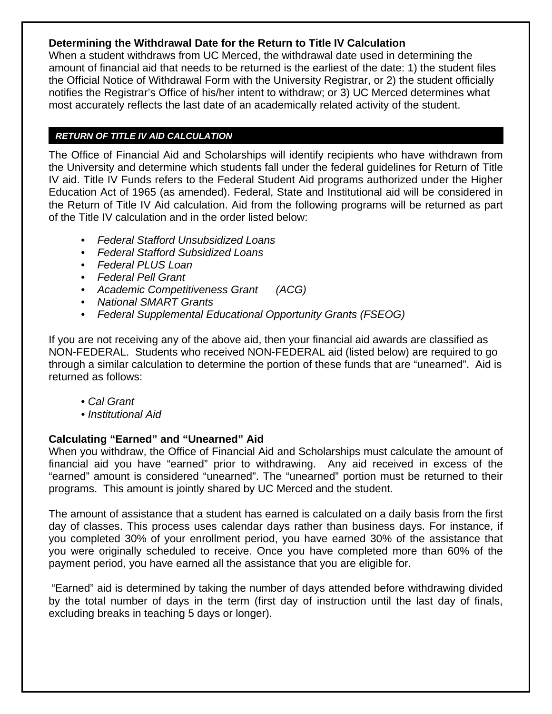#### **Determining the Withdrawal Date for the Return to Title IV Calculation**

When a student withdraws from UC Merced, the withdrawal date used in determining the amount of financial aid that needs to be returned is the earliest of the date: 1) the student files the Official Notice of Withdrawal Form with the University Registrar, or 2) the student officially notifies the Registrar's Office of his/her intent to withdraw; or 3) UC Merced determines what most accurately reflects the last date of an academically related activity of the student.

#### *RETURN OF TITLE IV AID CALCULATION*

The Office of Financial Aid and Scholarships will identify recipients who have withdrawn from the University and determine which students fall under the federal guidelines for Return of Title IV aid. Title IV Funds refers to the Federal Student Aid programs authorized under the Higher Education Act of 1965 (as amended). Federal, State and Institutional aid will be considered in the Return of Title IV Aid calculation. Aid from the following programs will be returned as part of the Title IV calculation and in the order listed below:

- *Federal Stafford Unsubsidized Loans*
- *Federal Stafford Subsidized Loans*
- *Federal PLUS Loan*
- *Federal Pell Grant*
- *Academic Competitiveness Grant (ACG)*
- *National SMART Grants*
- *Federal Supplemental Educational Opportunity Grants (FSEOG)*

If you are not receiving any of the above aid, then your financial aid awards are classified as NON-FEDERAL. Students who received NON-FEDERAL aid (listed below) are required to go through a similar calculation to determine the portion of these funds that are "unearned". Aid is returned as follows:

- • *Cal Grant*
- *Institutional Aid*

#### **Calculating "Earned" and "Unearned" Aid**

When you withdraw, the Office of Financial Aid and Scholarships must calculate the amount of financial aid you have "earned" prior to withdrawing. Any aid received in excess of the "earned" amount is considered "unearned". The "unearned" portion must be returned to their programs. This amount is jointly shared by UC Merced and the student.

The amount of assistance that a student has earned is calculated on a daily basis from the first day of classes. This process uses calendar days rather than business days. For instance, if you completed 30% of your enrollment period, you have earned 30% of the assistance that you were originally scheduled to receive. Once you have completed more than 60% of the payment period, you have earned all the assistance that you are eligible for.

 "Earned" aid is determined by taking the number of days attended before withdrawing divided by the total number of days in the term (first day of instruction until the last day of finals, excluding breaks in teaching 5 days or longer).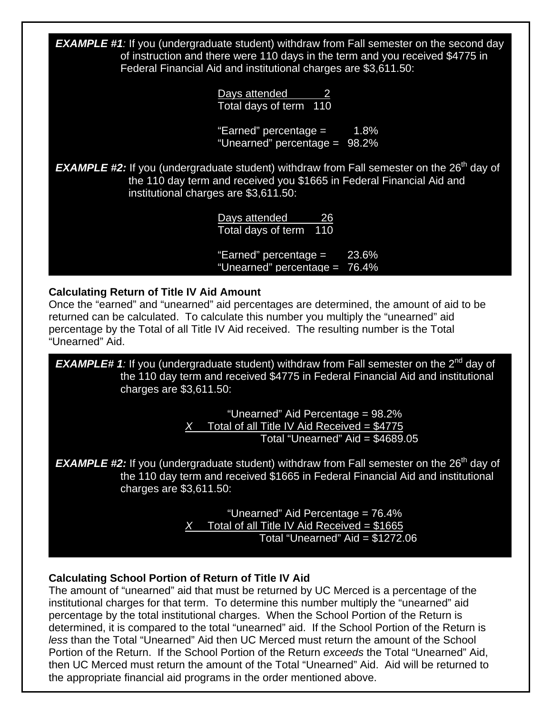| <b>EXAMPLE #1:</b> If you (undergraduate student) withdraw from Fall semester on the second day<br>of instruction and there were 110 days in the term and you received \$4775 in<br>Federal Financial Aid and institutional charges are \$3,611.50: |  |  |
|-----------------------------------------------------------------------------------------------------------------------------------------------------------------------------------------------------------------------------------------------------|--|--|
| Days attended<br>Total days of term 110                                                                                                                                                                                                             |  |  |
| "Earned" percentage $=$<br>1.8%<br>"Unearned" percentage = $98.2\%$                                                                                                                                                                                 |  |  |
| <b>EXAMPLE #2:</b> If you (undergraduate student) withdraw from Fall semester on the 26 <sup>th</sup> day of<br>the 110 day term and received you \$1665 in Federal Financial Aid and<br>institutional charges are \$3,611.50:                      |  |  |
| Days attended<br>26<br>Total days of term<br>110                                                                                                                                                                                                    |  |  |
| "Earned" percentage =<br>23.6%<br>"Unearned" percentage = $76.4\%$                                                                                                                                                                                  |  |  |

#### **Calculating Return of Title IV Aid Amount**

Once the "earned" and "unearned" aid percentages are determined, the amount of aid to be returned can be calculated. To calculate this number you multiply the "unearned" aid percentage by the Total of all Title IV Aid received. The resulting number is the Total "Unearned" Aid.

**EXAMPLE# 1**: If you (undergraduate student) withdraw from Fall semester on the 2<sup>nd</sup> day of the 110 day term and received \$4775 in Federal Financial Aid and institutional charges are \$3,611.50:

> "Unearned" Aid Percentage = 98.2% *X* Total of all Title IV Aid Received = \$4775 Total "Unearned" Aid = \$4689.05

**EXAMPLE #2:** If you (undergraduate student) withdraw from Fall semester on the 26<sup>th</sup> day of the 110 day term and received \$1665 in Federal Financial Aid and institutional charges are \$3,611.50:

> "Unearned" Aid Percentage = 76.4%  $X$  Total of all Title IV Aid Received = \$1665 Total "Unearned" Aid = \$1272.06

#### **Calculating School Portion of Return of Title IV Aid**

The amount of "unearned" aid that must be returned by UC Merced is a percentage of the institutional charges for that term. To determine this number multiply the "unearned" aid percentage by the total institutional charges. When the School Portion of the Return is determined, it is compared to the total "unearned" aid. If the School Portion of the Return is *less* than the Total "Unearned" Aid then UC Merced must return the amount of the School Portion of the Return. If the School Portion of the Return *exceeds* the Total "Unearned" Aid, then UC Merced must return the amount of the Total "Unearned" Aid. Aid will be returned to the appropriate financial aid programs in the order mentioned above.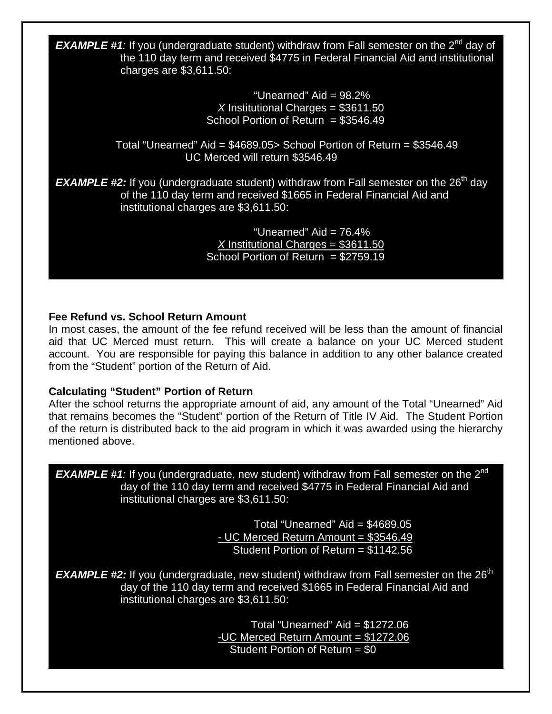**EXAMPLE #1**: If you (undergraduate student) withdraw from Fall semester on the 2<sup>nd</sup> day of the 110 day term and received \$4775 in Federal Financial Aid and institutional charges are \$3,611.50:

> "Unearned" Aid = 98.2% *X* Institutional Charges = \$3611.50 School Portion of Return =  $$3546.49$

 Total "Unearned" Aid = \$4689.05> School Portion of Return = \$3546.49 UC Merced will return \$3546.49

**EXAMPLE #2:** If you (undergraduate student) withdraw from Fall semester on the 26<sup>th</sup> day of the 110 day term and received \$1665 in Federal Financial Aid and institutional charges are \$3,611.50:

> "Unearned"  $A$ id = 76.4% *X* Institutional Charges = \$3611.50 School Portion of Return  $= $2759.19$

#### **Fee Refund vs. School Return Amount**

In most cases, the amount of the fee refund received will be less than the amount of financial aid that UC Merced must return. This will create a balance on your UC Merced student account. You are responsible for paying this balance in addition to any other balance created from the "Student" portion of the Return of Aid.

#### **Calculating "Student" Portion of Return**

After the school returns the appropriate amount of aid, any amount of the Total "Unearned" Aid that remains becomes the "Student" portion of the Return of Title IV Aid. The Student Portion of the return is distributed back to the aid program in which it was awarded using the hierarchy mentioned above.



Total "Unearned"  $A$ id = \$4689.05 *-* UC Merced Return Amount = \$3546.49 Student Portion of Return = \$1142.56

**EXAMPLE #2:** If you (undergraduate, new student) withdraw from Fall semester on the 26<sup>th</sup> day of the 110 day term and received \$1665 in Federal Financial Aid and institutional charges are \$3,611.50:

> Total "Unearned" Aid = \$1272.06 *-*UC Merced Return Amount = \$1272.06 Student Portion of Return = \$0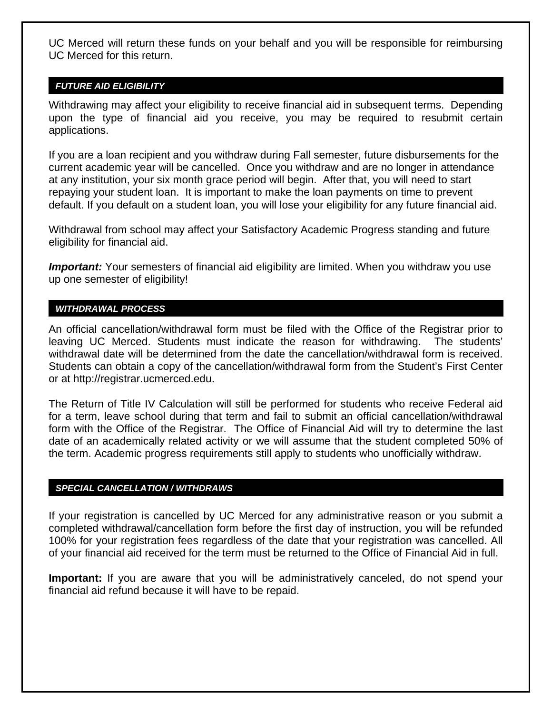UC Merced will return these funds on your behalf and you will be responsible for reimbursing UC Merced for this return.

#### *FUTURE AID ELIGIBILITY*

Withdrawing may affect your eligibility to receive financial aid in subsequent terms. Depending upon the type of financial aid you receive, you may be required to resubmit certain applications.

If you are a loan recipient and you withdraw during Fall semester, future disbursements for the current academic year will be cancelled. Once you withdraw and are no longer in attendance at any institution, your six month grace period will begin. After that, you will need to start repaying your student loan. It is important to make the loan payments on time to prevent default. If you default on a student loan, you will lose your eligibility for any future financial aid.

Withdrawal from school may affect your Satisfactory Academic Progress standing and future eligibility for financial aid.

**Important:** Your semesters of financial aid eligibility are limited. When you withdraw you use up one semester of eligibility!

#### *WITHDRAWAL PROCESS*

An official cancellation/withdrawal form must be filed with the Office of the Registrar prior to leaving UC Merced. Students must indicate the reason for withdrawing. The students' withdrawal date will be determined from the date the cancellation/withdrawal form is received. Students can obtain a copy of the cancellation/withdrawal form from the Student's First Center or at http://registrar.ucmerced.edu.

The Return of Title IV Calculation will still be performed for students who receive Federal aid for a term, leave school during that term and fail to submit an official cancellation/withdrawal form with the Office of the Registrar. The Office of Financial Aid will try to determine the last date of an academically related activity or we will assume that the student completed 50% of the term. Academic progress requirements still apply to students who unofficially withdraw.

#### *SPECIAL CANCELLATION / WITHDRAWS*

If your registration is cancelled by UC Merced for any administrative reason or you submit a completed withdrawal/cancellation form before the first day of instruction, you will be refunded 100% for your registration fees regardless of the date that your registration was cancelled. All of your financial aid received for the term must be returned to the Office of Financial Aid in full.

**Important:** If you are aware that you will be administratively canceled, do not spend your financial aid refund because it will have to be repaid.